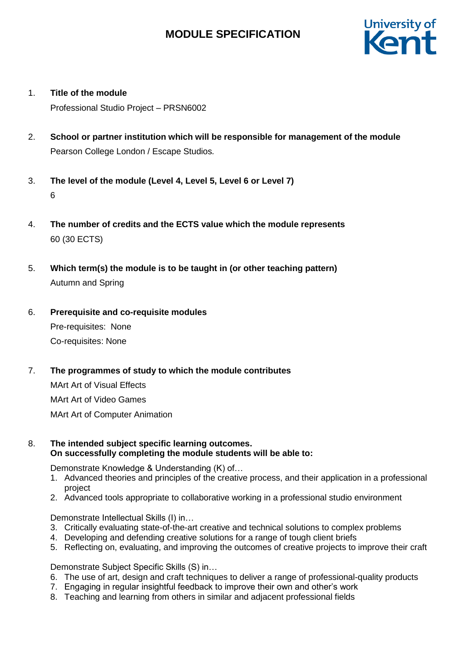

1. **Title of the module**

Professional Studio Project – PRSN6002

- 2. **School or partner institution which will be responsible for management of the module** Pearson College London / Escape Studios*.*
- 3. **The level of the module (Level 4, Level 5, Level 6 or Level 7)** 6
- 4. **The number of credits and the ECTS value which the module represents**  60 (30 ECTS)
- 5. **Which term(s) the module is to be taught in (or other teaching pattern)** Autumn and Spring
- 6. **Prerequisite and co-requisite modules** Pre-requisites: None

Co-requisites: None

- 7. **The programmes of study to which the module contributes** MArt Art of Visual Effects MArt Art of Video Games MArt Art of Computer Animation
- 8. **The intended subject specific learning outcomes. On successfully completing the module students will be able to:**

Demonstrate Knowledge & Understanding (K) of…

- 1. Advanced theories and principles of the creative process, and their application in a professional project
- 2. Advanced tools appropriate to collaborative working in a professional studio environment

Demonstrate Intellectual Skills (I) in…

- 3. Critically evaluating state-of-the-art creative and technical solutions to complex problems
- 4. Developing and defending creative solutions for a range of tough client briefs
- 5. Reflecting on, evaluating, and improving the outcomes of creative projects to improve their craft

Demonstrate Subject Specific Skills (S) in…

- 6. The use of art, design and craft techniques to deliver a range of professional-quality products
- 7. Engaging in regular insightful feedback to improve their own and other's work
- 8. Teaching and learning from others in similar and adjacent professional fields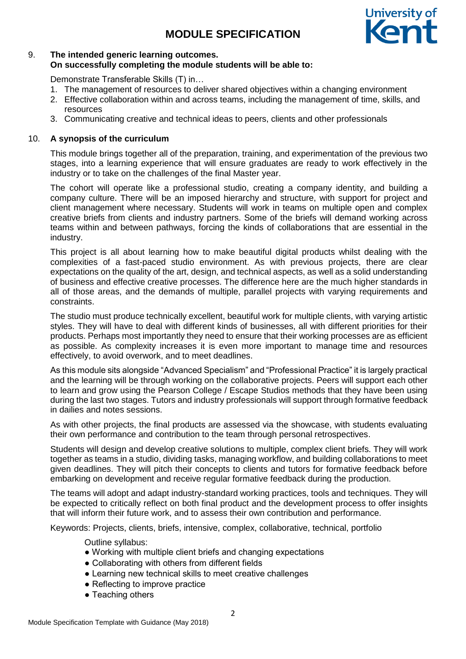

# 9. **The intended generic learning outcomes. On successfully completing the module students will be able to:**

Demonstrate Transferable Skills (T) in…

- 1. The management of resources to deliver shared objectives within a changing environment
- 2. Effective collaboration within and across teams, including the management of time, skills, and resources
- 3. Communicating creative and technical ideas to peers, clients and other professionals

## 10. **A synopsis of the curriculum**

This module brings together all of the preparation, training, and experimentation of the previous two stages, into a learning experience that will ensure graduates are ready to work effectively in the industry or to take on the challenges of the final Master year.

The cohort will operate like a professional studio, creating a company identity, and building a company culture. There will be an imposed hierarchy and structure, with support for project and client management where necessary. Students will work in teams on multiple open and complex creative briefs from clients and industry partners. Some of the briefs will demand working across teams within and between pathways, forcing the kinds of collaborations that are essential in the industry.

This project is all about learning how to make beautiful digital products whilst dealing with the complexities of a fast-paced studio environment. As with previous projects, there are clear expectations on the quality of the art, design, and technical aspects, as well as a solid understanding of business and effective creative processes. The difference here are the much higher standards in all of those areas, and the demands of multiple, parallel projects with varying requirements and constraints.

The studio must produce technically excellent, beautiful work for multiple clients, with varying artistic styles. They will have to deal with different kinds of businesses, all with different priorities for their products. Perhaps most importantly they need to ensure that their working processes are as efficient as possible. As complexity increases it is even more important to manage time and resources effectively, to avoid overwork, and to meet deadlines.

As this module sits alongside "Advanced Specialism" and "Professional Practice" it is largely practical and the learning will be through working on the collaborative projects. Peers will support each other to learn and grow using the Pearson College / Escape Studios methods that they have been using during the last two stages. Tutors and industry professionals will support through formative feedback in dailies and notes sessions.

As with other projects, the final products are assessed via the showcase, with students evaluating their own performance and contribution to the team through personal retrospectives.

Students will design and develop creative solutions to multiple, complex client briefs. They will work together as teams in a studio, dividing tasks, managing workflow, and building collaborations to meet given deadlines. They will pitch their concepts to clients and tutors for formative feedback before embarking on development and receive regular formative feedback during the production.

The teams will adopt and adapt industry-standard working practices, tools and techniques. They will be expected to critically reflect on both final product and the development process to offer insights that will inform their future work, and to assess their own contribution and performance.

Keywords: Projects, clients, briefs, intensive, complex, collaborative, technical, portfolio

Outline syllabus:

- Working with multiple client briefs and changing expectations
- Collaborating with others from different fields
- Learning new technical skills to meet creative challenges
- Reflecting to improve practice
- Teaching others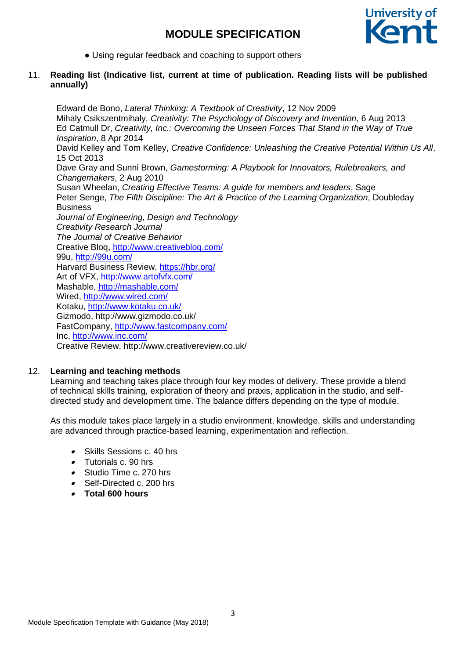

• Using regular feedback and coaching to support others

### 11. **Reading list (Indicative list, current at time of publication. Reading lists will be published annually)**

Edward de Bono, *Lateral Thinking: A Textbook of Creativity*, 12 Nov 2009 Mihaly Csikszentmihaly, *Creativity: The Psychology of Discovery and Invention*, 6 Aug 2013 Ed Catmull Dr, *Creativity, Inc.: Overcoming the Unseen Forces That Stand in the Way of True Inspiration*, 8 Apr 2014 David Kelley and Tom Kelley, *Creative Confidence: Unleashing the Creative Potential Within Us All*, 15 Oct 2013 Dave Gray and Sunni Brown, *Gamestorming: A Playbook for Innovators, Rulebreakers, and Changemakers*, 2 Aug 2010 Susan Wheelan, *Creating Effective Teams: A guide for members and leaders*, Sage Peter Senge, *The Fifth Discipline: The Art & Practice of the Learning Organization*, Doubleday **Business** *Journal of Engineering, Design and Technology Creativity Research Journal The Journal of Creative Behavior*  Creative Bloq,<http://www.creativebloq.com/> 99u,<http://99u.com/> Harvard Business Review,<https://hbr.org/> Art of VFX,<http://www.artofvfx.com/> Mashable,<http://mashable.com/> Wired,<http://www.wired.com/> Kotaku,<http://www.kotaku.co.uk/> Gizmodo, http://www.gizmodo.co.uk/ FastCompany,<http://www.fastcompany.com/> Inc,<http://www.inc.com/> Creative Review, http://www.creativereview.co.uk/

#### 12. **Learning and teaching methods**

Learning and teaching takes place through four key modes of delivery. These provide a blend of technical skills training, exploration of theory and praxis, application in the studio, and selfdirected study and development time. The balance differs depending on the type of module.

As this module takes place largely in a studio environment, knowledge, skills and understanding are advanced through practice-based learning, experimentation and reflection.

- Skills Sessions c. 40 hrs
- Tutorials c. 90 hrs
- . Studio Time c. 270 hrs
- . Self-Directed c. 200 hrs
- **Total 600 hours**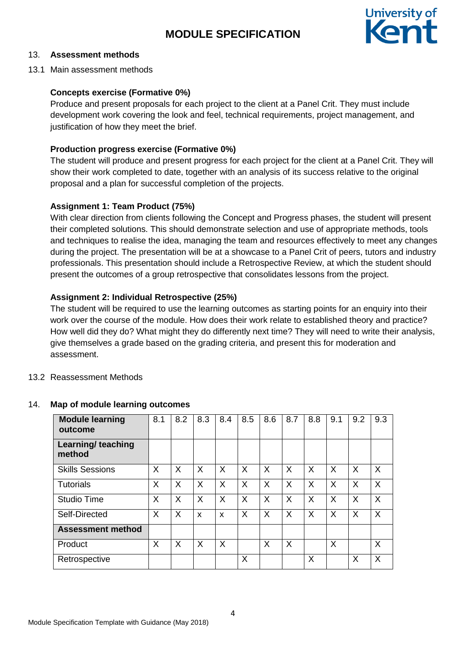

## 13. **Assessment methods**

13.1 Main assessment methods

## **Concepts exercise (Formative 0%)**

Produce and present proposals for each project to the client at a Panel Crit. They must include development work covering the look and feel, technical requirements, project management, and justification of how they meet the brief.

## **Production progress exercise (Formative 0%)**

The student will produce and present progress for each project for the client at a Panel Crit. They will show their work completed to date, together with an analysis of its success relative to the original proposal and a plan for successful completion of the projects.

## **Assignment 1: Team Product (75%)**

With clear direction from clients following the Concept and Progress phases, the student will present their completed solutions. This should demonstrate selection and use of appropriate methods, tools and techniques to realise the idea, managing the team and resources effectively to meet any changes during the project. The presentation will be at a showcase to a Panel Crit of peers, tutors and industry professionals. This presentation should include a Retrospective Review, at which the student should present the outcomes of a group retrospective that consolidates lessons from the project.

# **Assignment 2: Individual Retrospective (25%)**

The student will be required to use the learning outcomes as starting points for an enquiry into their work over the course of the module. How does their work relate to established theory and practice? How well did they do? What might they do differently next time? They will need to write their analysis, give themselves a grade based on the grading criteria, and present this for moderation and assessment.

## 13.2 Reassessment Methods

| <b>Module learning</b><br>outcome   | 8.1 | 8.2      | 8.3                       | 8.4 | 8.5 | 8.6      | 8.7 | 8.8 | 9.1      | 9.2 | 9.3 |
|-------------------------------------|-----|----------|---------------------------|-----|-----|----------|-----|-----|----------|-----|-----|
| <b>Learning/ teaching</b><br>method |     |          |                           |     |     |          |     |     |          |     |     |
| <b>Skills Sessions</b>              | X   | $\times$ | $\times$                  | X   | X   | $\times$ | X   | X   | $\times$ | X   | X   |
| <b>Tutorials</b>                    | X   | X        | X                         | X   | X   | X        | X   | X   | $\sf X$  | X   | X   |
| <b>Studio Time</b>                  | X   | $\sf X$  | X                         | X   | X   | X        | X   | X   | $\sf X$  | X   | X   |
| Self-Directed                       | X   | $\times$ | $\boldsymbol{\mathsf{x}}$ | X   | X   | X        | X   | X   | X        | X   | X   |
| <b>Assessment method</b>            |     |          |                           |     |     |          |     |     |          |     |     |
| Product                             | X   | $\sf X$  | $\times$                  | X   |     | X        | X   |     | X        |     | X   |
| Retrospective                       |     |          |                           |     | X   |          |     | X   |          | Χ   | Χ   |

#### 14. **Map of module learning outcomes**